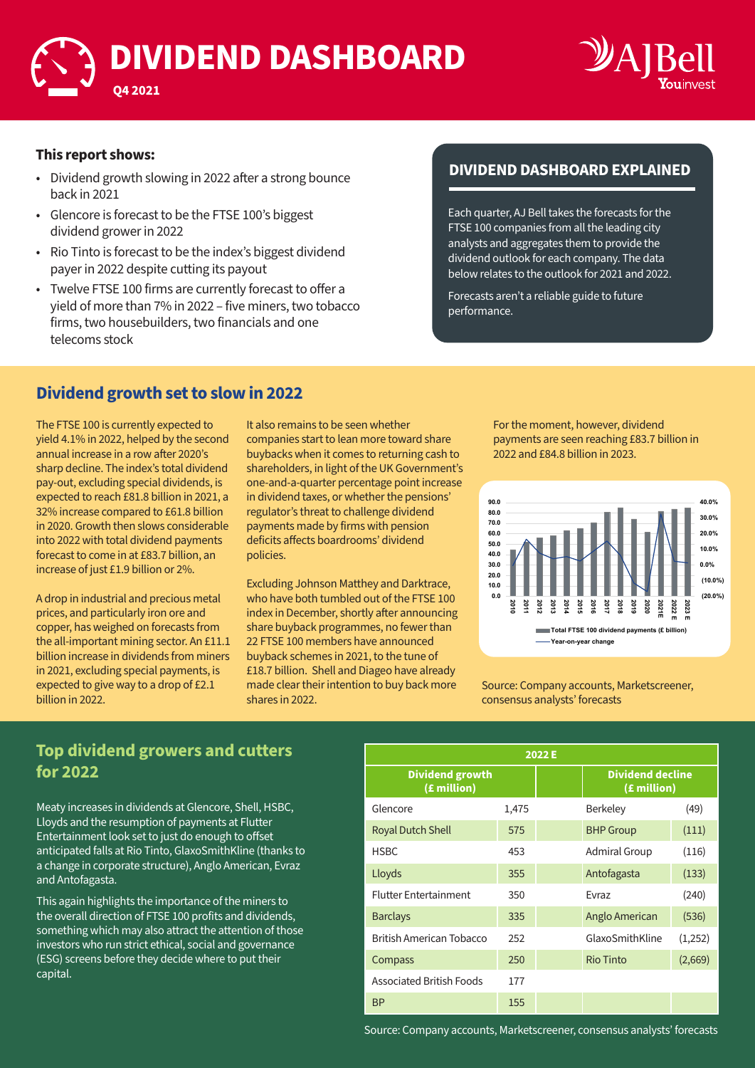# **DIVIDEND DASHBOARD**



#### **This report shows:**

**Q4 2021**

- Dividend growth slowing in 2022 after a strong bounce back in 2021
- Glencore is forecast to be the FTSE 100's biggest dividend grower in 2022
- Rio Tinto is forecast to be the index's biggest dividend payer in 2022 despite cutting its payout
- Twelve FTSE 100 firms are currently forecast to offer a yield of more than 7% in 2022 – five miners, two tobacco firms, two housebuilders, two financials and one telecoms stock

### **DIVIDEND DASHBOARD EXPLAINED**

Each quarter, AJ Bell takes the forecasts for the FTSE 100 companies from all the leading city analysts and aggregates them to provide the dividend outlook for each company. The data below relates to the outlook for 2021 and 2022.

Forecasts aren't a reliable guide to future performance.

### **Dividend growth set to slow in 2022**

The FTSE 100 is currently expected to yield 4.1% in 2022, helped by the second annual increase in a row after 2020's sharp decline. The index's total dividend pay-out, excluding special dividends, is expected to reach £81.8 billion in 2021, a 32% increase compared to £61.8 billion in 2020. Growth then slows considerable into 2022 with total dividend payments forecast to come in at £83.7 billion, an increase of just £1.9 billion or 2%.

A drop in industrial and precious metal prices, and particularly iron ore and copper, has weighed on forecasts from the all-important mining sector. An £11.1 billion increase in dividends from miners in 2021, excluding special payments, is expected to give way to a drop of £2.1 billion in 2022.

It also remains to be seen whether companies start to lean more toward share buybacks when it comes to returning cash to shareholders, in light of the UK Government's one-and-a-quarter percentage point increase in dividend taxes, or whether the pensions' regulator's threat to challenge dividend payments made by firms with pension deficits affects boardrooms' dividend policies.

Excluding Johnson Matthey and Darktrace, who have both tumbled out of the FTSE 100 index in December, shortly after announcing share buyback programmes, no fewer than 22 FTSE 100 members have announced buyback schemes in 2021, to the tune of £18.7 billion. Shell and Diageo have already made clear their intention to buy back more shares in 2022.

For the moment, however, dividend payments are seen reaching £83.7 billion in 2022 and £84.8 billion in 2023.



Source: Company accounts, Marketscreener, consensus analysts' forecasts

#### **Top dividend growers and cutters for 2022**

Meaty increases in dividends at Glencore, Shell, HSBC, Lloyds and the resumption of payments at Flutter Entertainment look set to just do enough to offset anticipated falls at Rio Tinto, GlaxoSmithKline (thanks to a change in corporate structure), Anglo American, Evraz and Antofagasta.

This again highlights the importance of the miners to the overall direction of FTSE 100 profits and dividends, something which may also attract the attention of those investors who run strict ethical, social and governance (ESG) screens before they decide where to put their capital.

| 2022 E                                |       |                  |                                        |         |  |
|---------------------------------------|-------|------------------|----------------------------------------|---------|--|
| <b>Dividend growth</b><br>(£ million) |       |                  | <b>Dividend decline</b><br>(£ million) |         |  |
| Glencore                              | 1,475 |                  | <b>Berkeley</b>                        | (49)    |  |
| <b>Royal Dutch Shell</b>              | 575   | <b>BHP Group</b> |                                        | (111)   |  |
| <b>HSBC</b>                           | 453   |                  | Admiral Group                          | (116)   |  |
| Lloyds                                | 355   |                  | Antofagasta                            | (133)   |  |
| <b>Flutter Entertainment</b>          | 350   |                  | <b>Fyraz</b>                           | (240)   |  |
| <b>Barclays</b>                       | 335   |                  | Anglo American                         | (536)   |  |
| British American Tobacco              | 252   |                  | GlaxoSmithKline                        | (1,252) |  |
| Compass                               | 250   |                  | <b>Rio Tinto</b>                       | (2,669) |  |
| <b>Associated British Foods</b>       | 177   |                  |                                        |         |  |
| <b>BP</b>                             | 155   |                  |                                        |         |  |

Source: Company accounts, Marketscreener, consensus analysts' forecasts Source: Company accounts, Marketscreener, consensus analysts' forecasts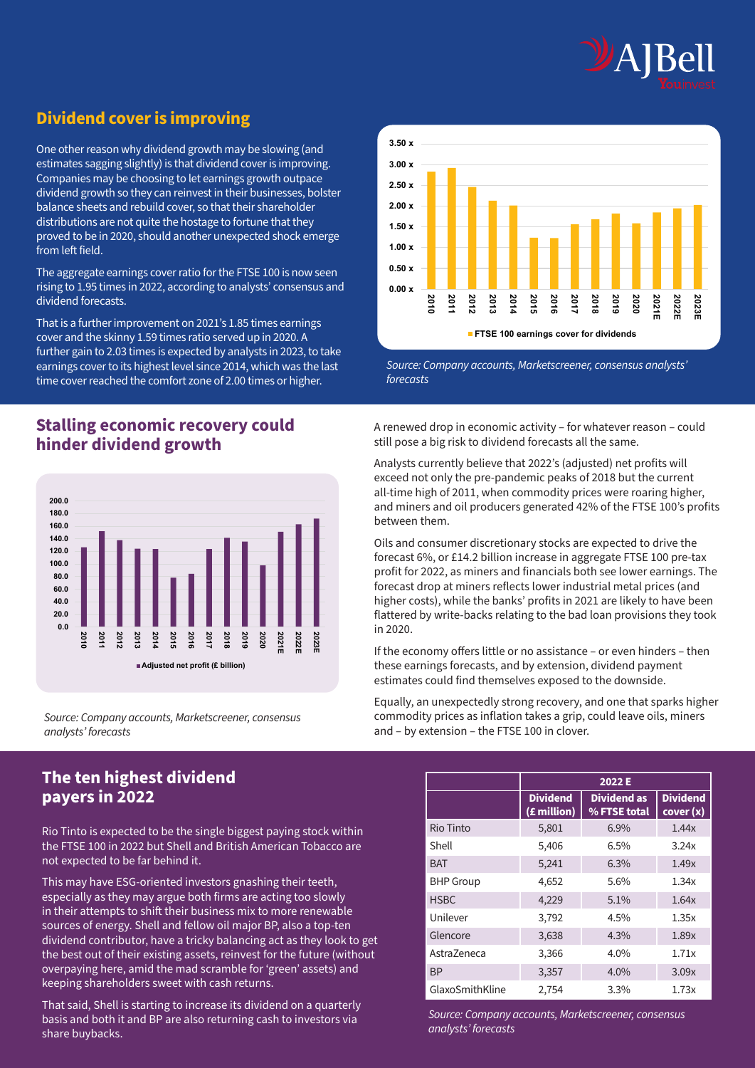

## **Dividend cover is improving**

One other reason why dividend growth may be slowing (and estimates sagging slightly) is that dividend cover is improving. Companies may be choosing to let earnings growth outpace dividend growth so they can reinvest in their businesses, bolster balance sheets and rebuild cover, so that their shareholder distributions are not quite the hostage to fortune that they proved to be in 2020, should another unexpected shock emerge from left field.

The aggregate earnings cover ratio for the FTSE 100 is now seen rising to 1.95 times in 2022, according to analysts' consensus and dividend forecasts.

That is a further improvement on 2021's 1.85 times earnings cover and the skinny 1.59 times ratio served up in 2020. A further gain to 2.03 times is expected by analysts in 2023, to take earnings cover to its highest level since 2014, which was the last time cover reached the comfort zone of 2.00 times or higher.

#### **Stalling economic recovery could hinder dividend growth**



*Source: Company accounts, Marketscreener, consensus analysts' forecasts*

#### **The ten highest dividend payers in 2022**

Rio Tinto is expected to be the single biggest paying stock within the FTSE 100 in 2022 but Shell and British American Tobacco are not expected to be far behind it.

This may have ESG-oriented investors gnashing their teeth, especially as they may argue both firms are acting too slowly in their attempts to shift their business mix to more renewable sources of energy. Shell and fellow oil major BP, also a top-ten dividend contributor, have a tricky balancing act as they look to get the best out of their existing assets, reinvest for the future (without overpaying here, amid the mad scramble for 'green' assets) and keeping shareholders sweet with cash returns.

That said, Shell is starting to increase its dividend on a quarterly basis and both it and BP are also returning cash to investors via share buybacks.



*Source: Company accounts, Marketscreener, consensus analysts' forecasts*

A renewed drop in economic activity – for whatever reason – could still pose a big risk to dividend forecasts all the same.

Analysts currently believe that 2022's (adjusted) net profits will exceed not only the pre-pandemic peaks of 2018 but the current all-time high of 2011, when commodity prices were roaring higher, and miners and oil producers generated 42% of the FTSE 100's profits between them.

Oils and consumer discretionary stocks are expected to drive the forecast 6%, or £14.2 billion increase in aggregate FTSE 100 pre-tax profit for 2022, as miners and financials both see lower earnings. The forecast drop at miners reflects lower industrial metal prices (and higher costs), while the banks' profits in 2021 are likely to have been flattered by write-backs relating to the bad loan provisions they took in 2020.

If the economy offers little or no assistance – or even hinders – then these earnings forecasts, and by extension, dividend payment estimates could find themselves exposed to the downside.

Equally, an unexpectedly strong recovery, and one that sparks higher commodity prices as inflation takes a grip, could leave oils, miners and – by extension – the FTSE 100 in clover.

|                  | 2022 E                         |                                    |                              |  |
|------------------|--------------------------------|------------------------------------|------------------------------|--|
|                  | <b>Dividend</b><br>(£ million) | <b>Dividend as</b><br>% FTSE total | <b>Dividend</b><br>cover (x) |  |
| Rio Tinto        | 5,801                          | 6.9%                               | 1.44x                        |  |
| Shell            | 5,406                          | 6.5%                               | 3.24x                        |  |
| <b>BAT</b>       | 5,241                          | 6.3%                               | 1.49x                        |  |
| <b>BHP Group</b> | 4,652                          | 5.6%                               | 1.34x                        |  |
| <b>HSBC</b>      | 4,229                          | 5.1%                               | 1.64x                        |  |
| Unilever         | 3,792                          | 4.5%                               | 1.35x                        |  |
| Glencore         | 3,638                          | 4.3%                               | 1.89x                        |  |
| Astra7eneca      | 3,366                          | $4.0\%$                            | 1.71x                        |  |
| <b>BP</b>        | 3,357                          | $4.0\%$                            | 3.09x                        |  |
| GlaxoSmithKline  | 2,754                          | 3.3%                               | 1.73x                        |  |

*Source: Company accounts, Marketscreener, consensus analysts' forecasts*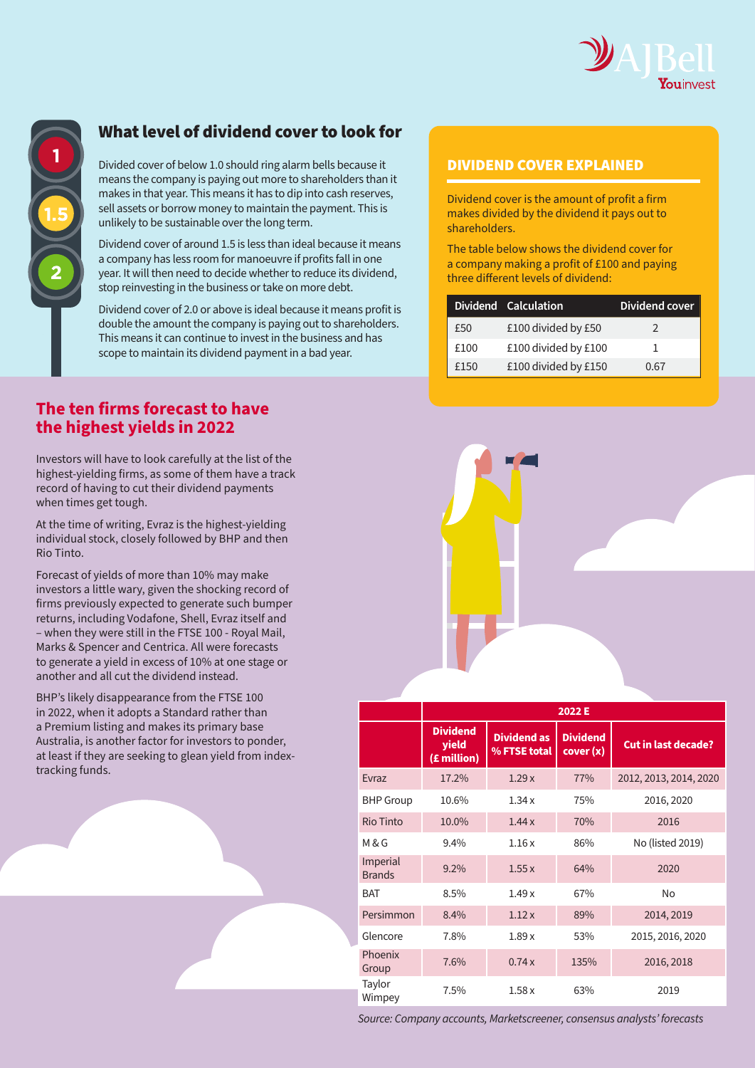

### What level of dividend cover to look for

Divided cover of below 1.0 should ring alarm bells because it **DIVIDEND COVER EXPLAINED** means the company is paying out more to shareholders than it makes in that year. This means it has to dip into cash reserves, sell assets or borrow money to maintain the payment. This is unlikely to be sustainable over the long term.

Dividend cover of around 1.5 is less than ideal because it means a company has less room for manoeuvre if profits fall in one year. It will then need to decide whether to reduce its dividend, stop reinvesting in the business or take on more debt.

Dividend cover of 2.0 or above is ideal because it means profit is double the amount the company is paying out to shareholders. This means it can continue to invest in the business and has scope to maintain its dividend payment in a bad year.

#### **The ten firms forecast to have the highest yields in 2022**

Investors will have to look carefully at the list of the highest-yielding firms, as some of them have a track record of having to cut their dividend payments when times get tough.

At the time of writing, Evraz is the highest-yielding individual stock, closely followed by BHP and then Rio Tinto.

Forecast of yields of more than 10% may make investors a little wary, given the shocking record of firms previously expected to generate such bumper returns, including Vodafone, Shell, Evraz itself and – when they were still in the FTSE 100 - Royal Mail, Marks & Spencer and Centrica. All were forecasts to generate a yield in excess of 10% at one stage or another and all cut the dividend instead.

BHP's likely disappearance from the FTSE 100 in 2022, when it adopts a Standard rather than a Premium listing and makes its primary base Australia, is another factor for investors to ponder, at least if they are seeking to glean yield from indextracking funds.

Dividend cover is the amount of profit a firm makes divided by the dividend it pays out to shareholders.

The table below shows the dividend cover for a company making a profit of £100 and paying three different levels of dividend:

|      | Dividend Calculation | Dividend cover |
|------|----------------------|----------------|
| £50  | £100 divided by £50  | 2              |
| £100 | £100 divided by £100 |                |
| £150 | £100 divided by £150 | 0.67           |

|                           | 2022 E                                         |                                    |                             |                            |  |
|---------------------------|------------------------------------------------|------------------------------------|-----------------------------|----------------------------|--|
|                           | <b>Dividend</b><br><b>vield</b><br>(£ million) | <b>Dividend as</b><br>% FTSE total | <b>Dividend</b><br>cover(x) | <b>Cut in last decade?</b> |  |
| <b>Fyraz</b>              | 17.2%                                          | 1.29x                              | 77%                         | 2012, 2013, 2014, 2020     |  |
| <b>BHP</b> Group          | 10.6%                                          | 1.34x                              | 75%                         | 2016, 2020                 |  |
| Rio Tinto                 | 10.0%                                          | 1.44x                              | 70%                         | 2016                       |  |
| M & G                     | 9.4%                                           | 1.16x                              | 86%                         | No (listed 2019)           |  |
| Imperial<br><b>Brands</b> | 9.2%                                           | 1.55x                              | 64%                         | 2020                       |  |
| <b>BAT</b>                | 8.5%                                           | 1.49x                              | 67%                         | N <sub>o</sub>             |  |
| Persimmon                 | 8.4%                                           | 1.12x                              | 89%                         | 2014, 2019                 |  |
| Glencore                  | 7.8%                                           | 1.89x                              | 53%                         | 2015, 2016, 2020           |  |
| Phoenix<br>Group          | 7.6%                                           | 0.74x                              | 135%                        | 2016, 2018                 |  |
| Taylor<br>Wimpey          | 7.5%                                           | 1.58x                              | 63%                         | 2019                       |  |

*Source: Company accounts, Marketscreener, consensus analysts' forecasts*